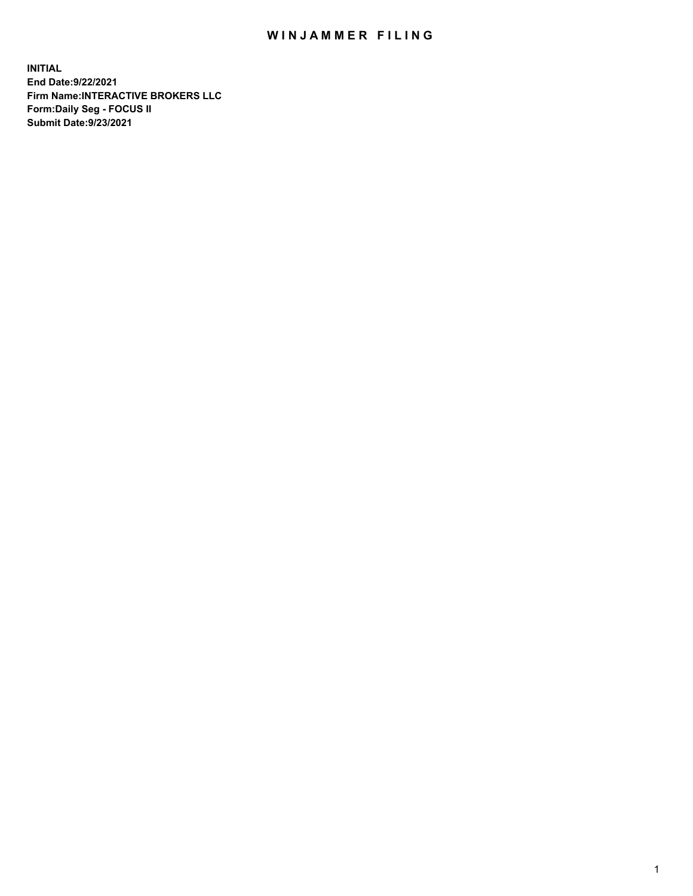## WIN JAMMER FILING

**INITIAL End Date:9/22/2021 Firm Name:INTERACTIVE BROKERS LLC Form:Daily Seg - FOCUS II Submit Date:9/23/2021**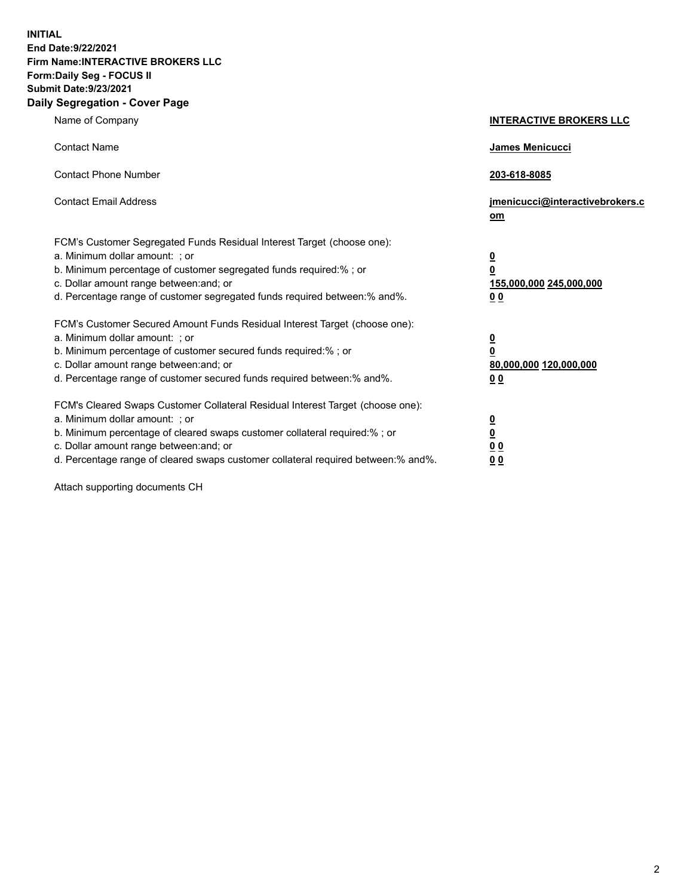**INITIAL End Date:9/22/2021 Firm Name:INTERACTIVE BROKERS LLC Form:Daily Seg - FOCUS II Submit Date:9/23/2021 Daily Segregation - Cover Page**

| Name of Company                                                                                                                                                                                                                                                                                                                | <b>INTERACTIVE BROKERS LLC</b>                                           |  |
|--------------------------------------------------------------------------------------------------------------------------------------------------------------------------------------------------------------------------------------------------------------------------------------------------------------------------------|--------------------------------------------------------------------------|--|
| <b>Contact Name</b>                                                                                                                                                                                                                                                                                                            | James Menicucci                                                          |  |
| <b>Contact Phone Number</b>                                                                                                                                                                                                                                                                                                    | 203-618-8085                                                             |  |
| <b>Contact Email Address</b>                                                                                                                                                                                                                                                                                                   | jmenicucci@interactivebrokers.c<br>om                                    |  |
| FCM's Customer Segregated Funds Residual Interest Target (choose one):<br>a. Minimum dollar amount: ; or<br>b. Minimum percentage of customer segregated funds required:% ; or<br>c. Dollar amount range between: and; or<br>d. Percentage range of customer segregated funds required between: % and %.                       | <u>0</u><br>0<br>155,000,000 245,000,000<br>0 <sub>0</sub>               |  |
| FCM's Customer Secured Amount Funds Residual Interest Target (choose one):<br>a. Minimum dollar amount: ; or<br>b. Minimum percentage of customer secured funds required:% ; or<br>c. Dollar amount range between: and; or<br>d. Percentage range of customer secured funds required between:% and%.                           | <u>0</u><br>$\overline{\mathbf{0}}$<br>80,000,000 120,000,000<br>00      |  |
| FCM's Cleared Swaps Customer Collateral Residual Interest Target (choose one):<br>a. Minimum dollar amount: ; or<br>b. Minimum percentage of cleared swaps customer collateral required:% ; or<br>c. Dollar amount range between: and; or<br>d. Percentage range of cleared swaps customer collateral required between:% and%. | <u>0</u><br>$\underline{\mathbf{0}}$<br>0 <sub>0</sub><br>0 <sub>0</sub> |  |

Attach supporting documents CH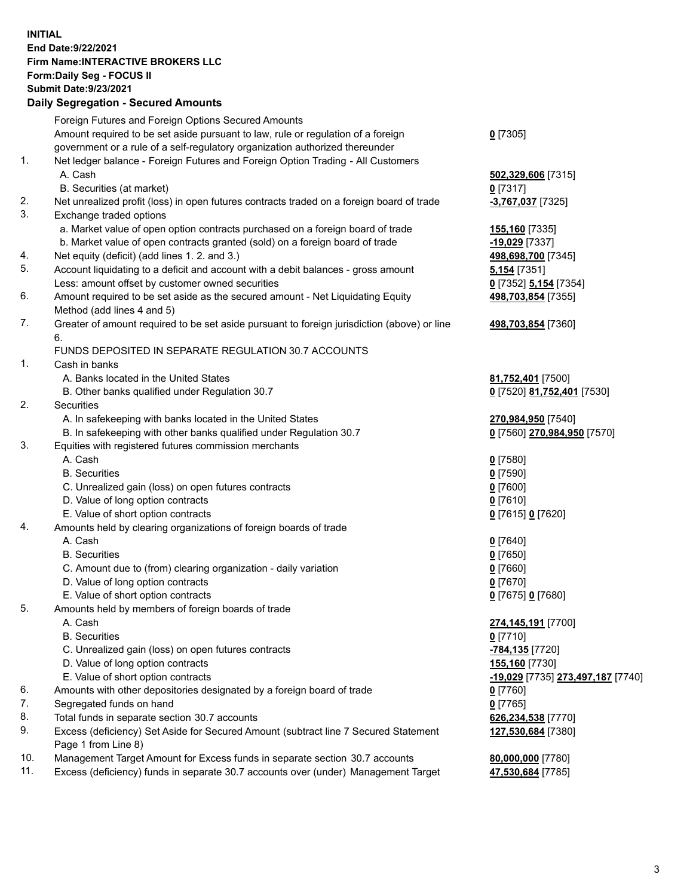**INITIAL End Date:9/22/2021 Firm Name:INTERACTIVE BROKERS LLC Form:Daily Seg - FOCUS II Submit Date:9/23/2021 Daily Segregation - Secured Amounts**

## Foreign Futures and Foreign Options Secured Amounts Amount required to be set aside pursuant to law, rule or regulation of a foreign government or a rule of a self-regulatory organization authorized thereunder **0** [7305] 1. Net ledger balance - Foreign Futures and Foreign Option Trading - All Customers A. Cash **502,329,606** [7315] B. Securities (at market) **0** [7317] 2. Net unrealized profit (loss) in open futures contracts traded on a foreign board of trade **-3,767,037** [7325] 3. Exchange traded options a. Market value of open option contracts purchased on a foreign board of trade **155,160** [7335] b. Market value of open contracts granted (sold) on a foreign board of trade **-19,029** [7337] 4. Net equity (deficit) (add lines 1. 2. and 3.) **498,698,700** [7345] 5. Account liquidating to a deficit and account with a debit balances - gross amount **5,154** [7351] Less: amount offset by customer owned securities **0** [7352] **5,154** [7354] 6. Amount required to be set aside as the secured amount - Net Liquidating Equity Method (add lines 4 and 5) **498,703,854** [7355] 7. Greater of amount required to be set aside pursuant to foreign jurisdiction (above) or line 6. **498,703,854** [7360] FUNDS DEPOSITED IN SEPARATE REGULATION 30.7 ACCOUNTS 1. Cash in banks A. Banks located in the United States **81,752,401** [7500] B. Other banks qualified under Regulation 30.7 **0** [7520] **81,752,401** [7530] 2. Securities A. In safekeeping with banks located in the United States **270,984,950** [7540] B. In safekeeping with other banks qualified under Regulation 30.7 **0** [7560] **270,984,950** [7570] 3. Equities with registered futures commission merchants A. Cash **0** [7580] B. Securities **0** [7590] C. Unrealized gain (loss) on open futures contracts **0** [7600] D. Value of long option contracts **0** [7610] E. Value of short option contracts **0** [7615] **0** [7620] 4. Amounts held by clearing organizations of foreign boards of trade A. Cash **0** [7640] B. Securities **0** [7650] C. Amount due to (from) clearing organization - daily variation **0** [7660] D. Value of long option contracts **0** [7670] E. Value of short option contracts **0** [7675] **0** [7680] 5. Amounts held by members of foreign boards of trade A. Cash **274,145,191** [7700] B. Securities **0** [7710] C. Unrealized gain (loss) on open futures contracts **-784,135** [7720] D. Value of long option contracts **155,160** [7730] E. Value of short option contracts **-19,029** [7735] **273,497,187** [7740] 6. Amounts with other depositories designated by a foreign board of trade **0** [7760] 7. Segregated funds on hand **0** [7765] 8. Total funds in separate section 30.7 accounts **626,234,538** [7770] 9. Excess (deficiency) Set Aside for Secured Amount (subtract line 7 Secured Statement Page 1 from Line 8) **127,530,684** [7380] 10. Management Target Amount for Excess funds in separate section 30.7 accounts **80,000,000** [7780] 11. Excess (deficiency) funds in separate 30.7 accounts over (under) Management Target **47,530,684** [7785]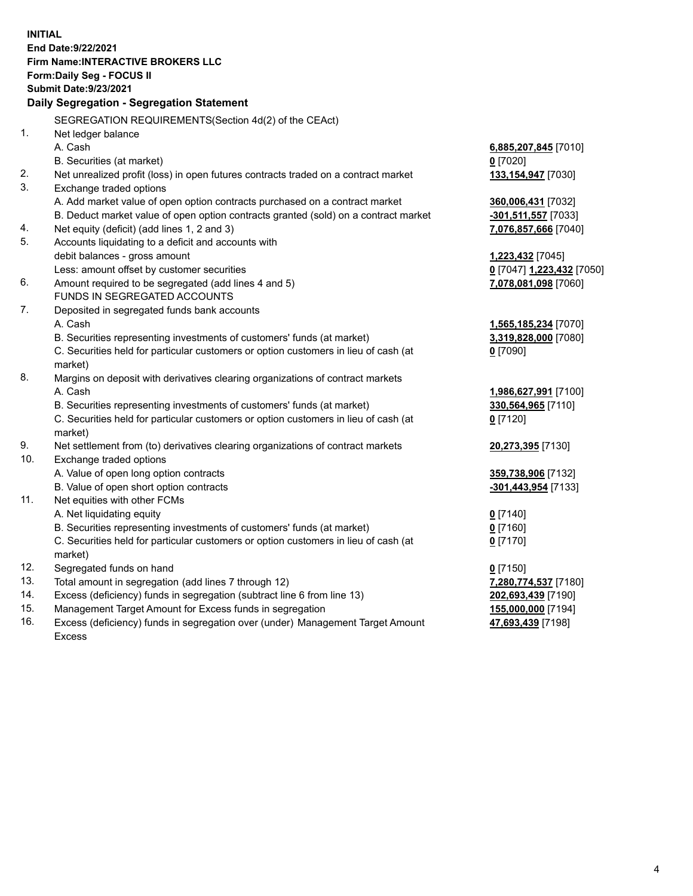**INITIAL End Date:9/22/2021 Firm Name:INTERACTIVE BROKERS LLC Form:Daily Seg - FOCUS II Submit Date:9/23/2021 Daily Segregation - Segregation Statement** SEGREGATION REQUIREMENTS(Section 4d(2) of the CEAct) 1. Net ledger balance A. Cash **6,885,207,845** [7010] B. Securities (at market) **0** [7020] 2. Net unrealized profit (loss) in open futures contracts traded on a contract market **133,154,947** [7030] 3. Exchange traded options A. Add market value of open option contracts purchased on a contract market **360,006,431** [7032] B. Deduct market value of open option contracts granted (sold) on a contract market **-301,511,557** [7033] 4. Net equity (deficit) (add lines 1, 2 and 3) **7,076,857,666** [7040] 5. Accounts liquidating to a deficit and accounts with debit balances - gross amount **1,223,432** [7045] Less: amount offset by customer securities **0** [7047] **1,223,432** [7050] 6. Amount required to be segregated (add lines 4 and 5) **7,078,081,098** [7060] FUNDS IN SEGREGATED ACCOUNTS 7. Deposited in segregated funds bank accounts A. Cash **1,565,185,234** [7070] B. Securities representing investments of customers' funds (at market) **3,319,828,000** [7080] C. Securities held for particular customers or option customers in lieu of cash (at market) **0** [7090] 8. Margins on deposit with derivatives clearing organizations of contract markets A. Cash **1,986,627,991** [7100] B. Securities representing investments of customers' funds (at market) **330,564,965** [7110] C. Securities held for particular customers or option customers in lieu of cash (at market) **0** [7120] 9. Net settlement from (to) derivatives clearing organizations of contract markets **20,273,395** [7130] 10. Exchange traded options A. Value of open long option contracts **359,738,906** [7132] B. Value of open short option contracts **-301,443,954** [7133] 11. Net equities with other FCMs A. Net liquidating equity **0** [7140] B. Securities representing investments of customers' funds (at market) **0** [7160] C. Securities held for particular customers or option customers in lieu of cash (at market) **0** [7170] 12. Segregated funds on hand **0** [7150] 13. Total amount in segregation (add lines 7 through 12) **7,280,774,537** [7180] 14. Excess (deficiency) funds in segregation (subtract line 6 from line 13) **202,693,439** [7190] 15. Management Target Amount for Excess funds in segregation **155,000,000** [7194] **47,693,439** [7198]

16. Excess (deficiency) funds in segregation over (under) Management Target Amount Excess